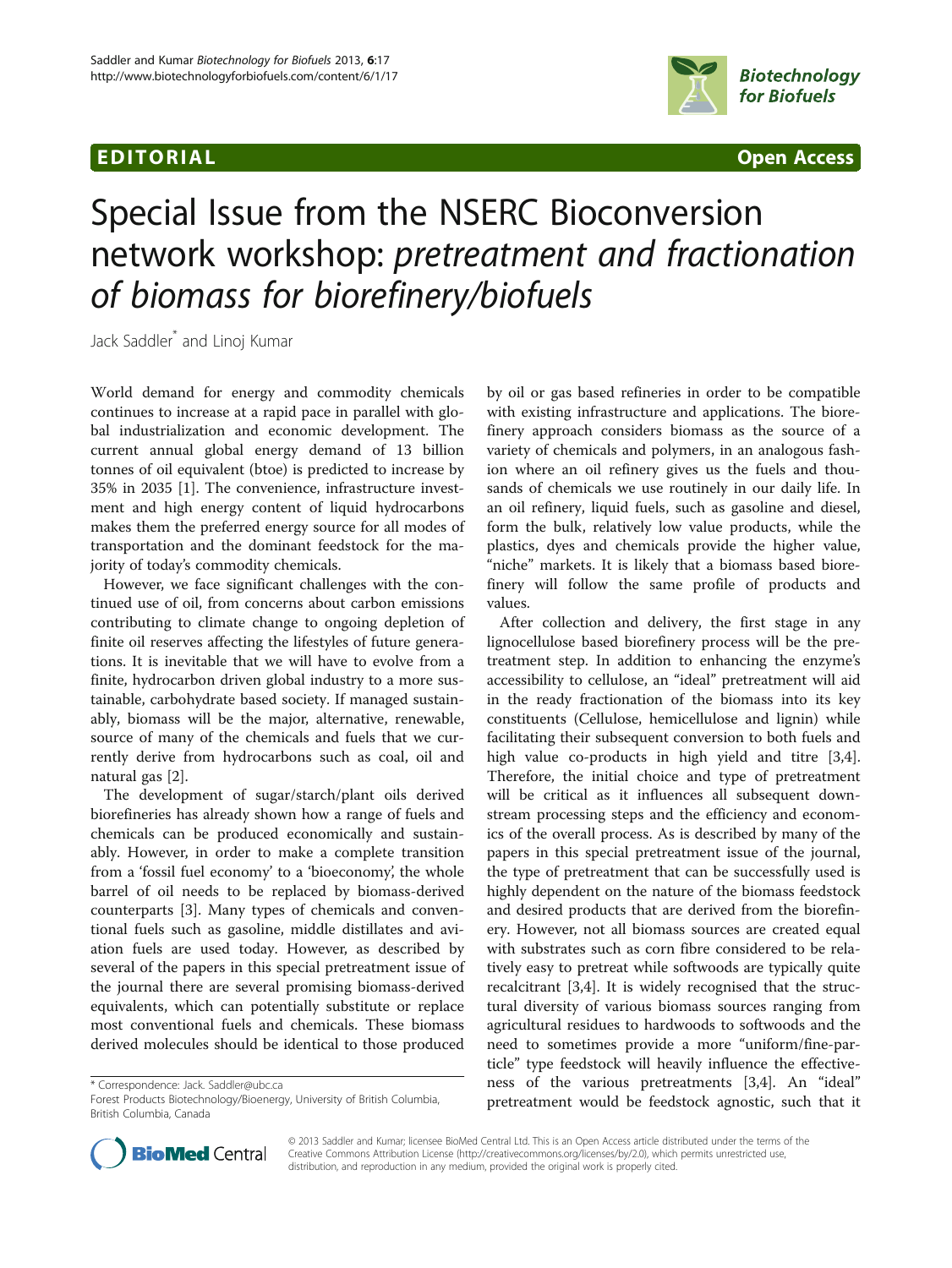## EDI TORIA L Open Access



# Special Issue from the NSERC Bioconversion network workshop: pretreatment and fractionation of biomass for biorefinery/biofuels

Jack Saddler\* and Linoj Kumar

World demand for energy and commodity chemicals continues to increase at a rapid pace in parallel with global industrialization and economic development. The current annual global energy demand of 13 billion tonnes of oil equivalent (btoe) is predicted to increase by 35% in 2035 [[1](#page-2-0)]. The convenience, infrastructure investment and high energy content of liquid hydrocarbons makes them the preferred energy source for all modes of transportation and the dominant feedstock for the majority of today's commodity chemicals.

However, we face significant challenges with the continued use of oil, from concerns about carbon emissions contributing to climate change to ongoing depletion of finite oil reserves affecting the lifestyles of future generations. It is inevitable that we will have to evolve from a finite, hydrocarbon driven global industry to a more sustainable, carbohydrate based society. If managed sustainably, biomass will be the major, alternative, renewable, source of many of the chemicals and fuels that we currently derive from hydrocarbons such as coal, oil and natural gas [[2\]](#page-2-0).

The development of sugar/starch/plant oils derived biorefineries has already shown how a range of fuels and chemicals can be produced economically and sustainably. However, in order to make a complete transition from a 'fossil fuel economy' to a 'bioeconomy', the whole barrel of oil needs to be replaced by biomass-derived counterparts [[3\]](#page-2-0). Many types of chemicals and conventional fuels such as gasoline, middle distillates and aviation fuels are used today. However, as described by several of the papers in this special pretreatment issue of the journal there are several promising biomass-derived equivalents, which can potentially substitute or replace most conventional fuels and chemicals. These biomass derived molecules should be identical to those produced

\* Correspondence: [Jack. Saddler@ubc.ca](mailto:Jack. Saddler@ubc.ca)

Forest Products Biotechnology/Bioenergy, University of British Columbia, British Columbia, Canada



After collection and delivery, the first stage in any lignocellulose based biorefinery process will be the pretreatment step. In addition to enhancing the enzyme's accessibility to cellulose, an "ideal" pretreatment will aid in the ready fractionation of the biomass into its key constituents (Cellulose, hemicellulose and lignin) while facilitating their subsequent conversion to both fuels and high value co-products in high yield and titre [\[3,4](#page-2-0)]. Therefore, the initial choice and type of pretreatment will be critical as it influences all subsequent downstream processing steps and the efficiency and economics of the overall process. As is described by many of the papers in this special pretreatment issue of the journal, the type of pretreatment that can be successfully used is highly dependent on the nature of the biomass feedstock and desired products that are derived from the biorefinery. However, not all biomass sources are created equal with substrates such as corn fibre considered to be relatively easy to pretreat while softwoods are typically quite recalcitrant [\[3,4](#page-2-0)]. It is widely recognised that the structural diversity of various biomass sources ranging from agricultural residues to hardwoods to softwoods and the need to sometimes provide a more "uniform/fine-particle" type feedstock will heavily influence the effectiveness of the various pretreatments [\[3,4](#page-2-0)]. An "ideal" pretreatment would be feedstock agnostic, such that it



© 2013 Saddler and Kumar; licensee BioMed Central Ltd. This is an Open Access article distributed under the terms of the Creative Commons Attribution License (<http://creativecommons.org/licenses/by/2.0>), which permits unrestricted use, distribution, and reproduction in any medium, provided the original work is properly cited.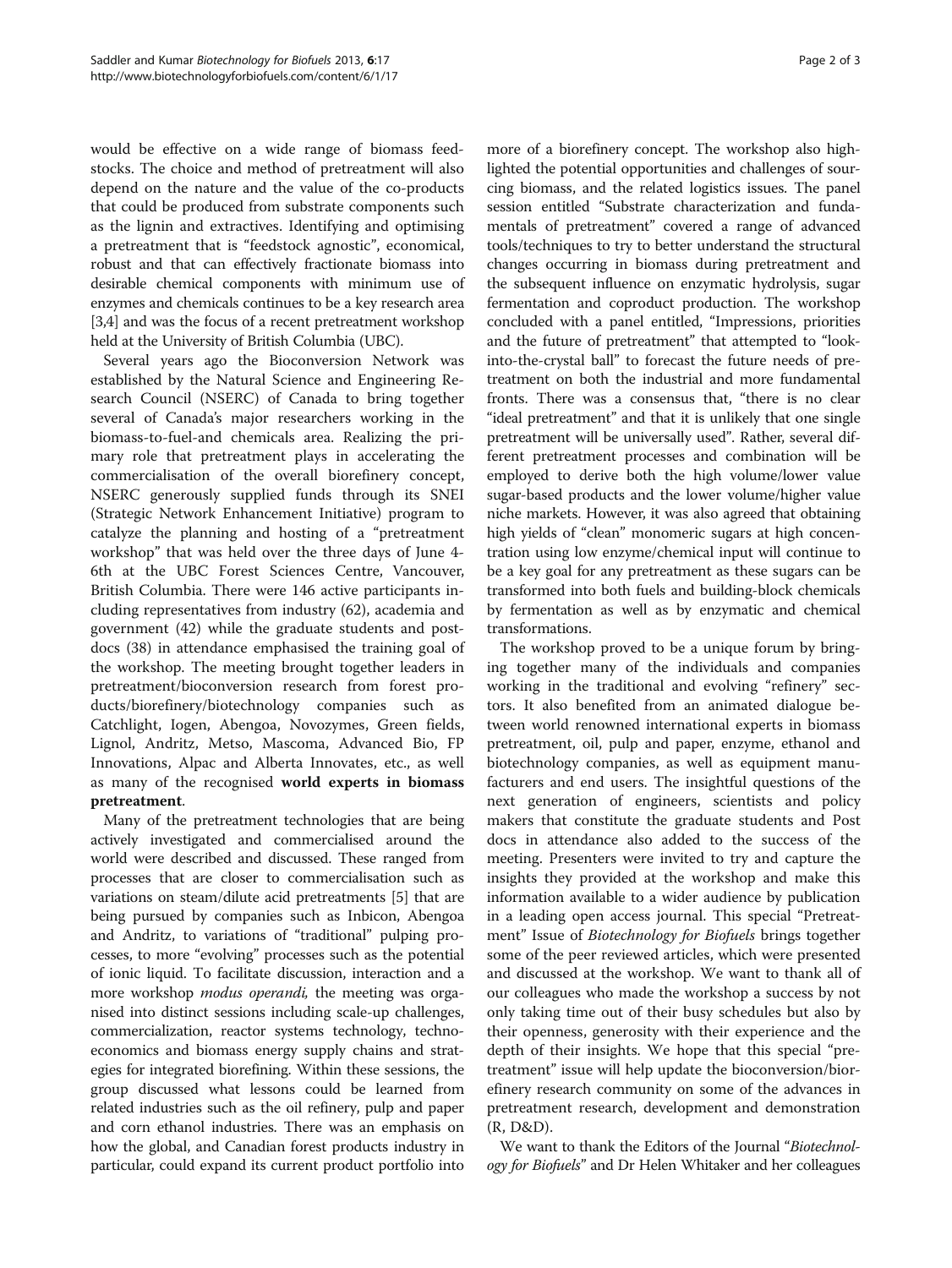would be effective on a wide range of biomass feedstocks. The choice and method of pretreatment will also depend on the nature and the value of the co-products that could be produced from substrate components such as the lignin and extractives. Identifying and optimising a pretreatment that is "feedstock agnostic", economical, robust and that can effectively fractionate biomass into desirable chemical components with minimum use of enzymes and chemicals continues to be a key research area [[3,4](#page-2-0)] and was the focus of a recent pretreatment workshop held at the University of British Columbia (UBC).

Several years ago the Bioconversion Network was established by the Natural Science and Engineering Research Council (NSERC) of Canada to bring together several of Canada's major researchers working in the biomass-to-fuel-and chemicals area. Realizing the primary role that pretreatment plays in accelerating the commercialisation of the overall biorefinery concept, NSERC generously supplied funds through its SNEI (Strategic Network Enhancement Initiative) program to catalyze the planning and hosting of a "pretreatment workshop" that was held over the three days of June 4- 6th at the UBC Forest Sciences Centre, Vancouver, British Columbia. There were 146 active participants including representatives from industry (62), academia and government (42) while the graduate students and postdocs (38) in attendance emphasised the training goal of the workshop. The meeting brought together leaders in pretreatment/bioconversion research from forest products/biorefinery/biotechnology companies such as Catchlight, Iogen, Abengoa, Novozymes, Green fields, Lignol, Andritz, Metso, Mascoma, Advanced Bio, FP Innovations, Alpac and Alberta Innovates, etc., as well as many of the recognised world experts in biomass pretreatment.

Many of the pretreatment technologies that are being actively investigated and commercialised around the world were described and discussed. These ranged from processes that are closer to commercialisation such as variations on steam/dilute acid pretreatments [[5\]](#page-2-0) that are being pursued by companies such as Inbicon, Abengoa and Andritz, to variations of "traditional" pulping processes, to more "evolving" processes such as the potential of ionic liquid. To facilitate discussion, interaction and a more workshop *modus operandi*, the meeting was organised into distinct sessions including scale-up challenges, commercialization, reactor systems technology, technoeconomics and biomass energy supply chains and strategies for integrated biorefining. Within these sessions, the group discussed what lessons could be learned from related industries such as the oil refinery, pulp and paper and corn ethanol industries. There was an emphasis on how the global, and Canadian forest products industry in particular, could expand its current product portfolio into

more of a biorefinery concept. The workshop also highlighted the potential opportunities and challenges of sourcing biomass, and the related logistics issues. The panel session entitled "Substrate characterization and fundamentals of pretreatment" covered a range of advanced tools/techniques to try to better understand the structural changes occurring in biomass during pretreatment and the subsequent influence on enzymatic hydrolysis, sugar fermentation and coproduct production. The workshop concluded with a panel entitled, "Impressions, priorities and the future of pretreatment" that attempted to "lookinto-the-crystal ball" to forecast the future needs of pretreatment on both the industrial and more fundamental fronts. There was a consensus that, "there is no clear "ideal pretreatment" and that it is unlikely that one single pretreatment will be universally used". Rather, several different pretreatment processes and combination will be employed to derive both the high volume/lower value sugar-based products and the lower volume/higher value niche markets. However, it was also agreed that obtaining high yields of "clean" monomeric sugars at high concentration using low enzyme/chemical input will continue to be a key goal for any pretreatment as these sugars can be transformed into both fuels and building-block chemicals by fermentation as well as by enzymatic and chemical transformations.

The workshop proved to be a unique forum by bringing together many of the individuals and companies working in the traditional and evolving "refinery" sectors. It also benefited from an animated dialogue between world renowned international experts in biomass pretreatment, oil, pulp and paper, enzyme, ethanol and biotechnology companies, as well as equipment manufacturers and end users. The insightful questions of the next generation of engineers, scientists and policy makers that constitute the graduate students and Post docs in attendance also added to the success of the meeting. Presenters were invited to try and capture the insights they provided at the workshop and make this information available to a wider audience by publication in a leading open access journal. This special "Pretreatment" Issue of *Biotechnology for Biofuels* brings together some of the peer reviewed articles, which were presented and discussed at the workshop. We want to thank all of our colleagues who made the workshop a success by not only taking time out of their busy schedules but also by their openness, generosity with their experience and the depth of their insights. We hope that this special "pretreatment" issue will help update the bioconversion/biorefinery research community on some of the advances in pretreatment research, development and demonstration (R, D&D).

We want to thank the Editors of the Journal "Biotechnology for Biofuels" and Dr Helen Whitaker and her colleagues